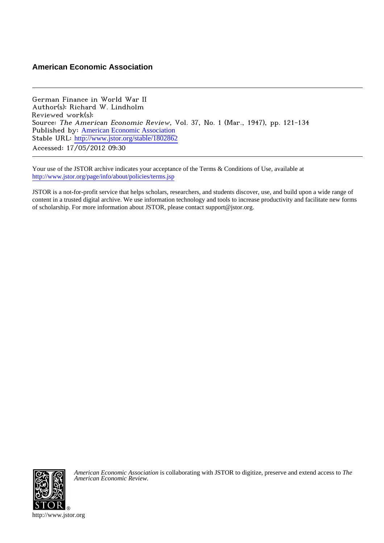# **American Economic Association**

German Finance in World War II Author(s): Richard W. Lindholm Reviewed work(s): Source: The American Economic Review, Vol. 37, No. 1 (Mar., 1947), pp. 121-134 Published by: [American Economic Association](http://www.jstor.org/action/showPublisher?publisherCode=aea) Stable URL: [http://www.jstor.org/stable/1802862](http://www.jstor.org/stable/1802862?origin=JSTOR-pdf) Accessed: 17/05/2012 09:30

Your use of the JSTOR archive indicates your acceptance of the Terms & Conditions of Use, available at <http://www.jstor.org/page/info/about/policies/terms.jsp>

JSTOR is a not-for-profit service that helps scholars, researchers, and students discover, use, and build upon a wide range of content in a trusted digital archive. We use information technology and tools to increase productivity and facilitate new forms of scholarship. For more information about JSTOR, please contact support@jstor.org.



*American Economic Association* is collaborating with JSTOR to digitize, preserve and extend access to *The American Economic Review.*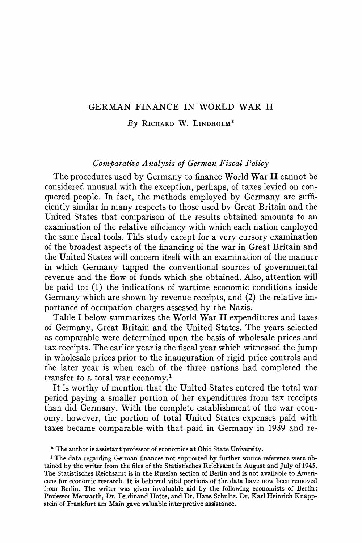## **GERMAN FINANCE IN WORLD WAR II**

**By RICHARD W. LINDHOLM\*** 

#### **Comparative Analysis of German Fiscal Policy**

**The procedures used by Germany to finance World War II cannot be considered unusual with the exception, perhaps, of taxes levied on conquered people. In fact, the methods employed by Germany are sufficiently similar in many respects to those used by Great Britain and the United States that comparison of the results obtained amounts to an examination of the relative efficiency with which each nation employed the same fiscal tools. This study except for a very cursory examination of the broadest aspects of the financing of the war in Great Britain and the United States will concern itself with an examination of the manner in which Germany tapped the conventional sources of governmental revenue and the flow of funds which she obtained. Also, attention will be paid to: (1) the indications of wartime economic conditions inside Germany which are shown by revenue receipts, and (2) the relative importance of occupation charges assessed by the Nazis.** 

**Table I below summarizes the World War II expenditures and taxes of Germany, Great Britain and the United States. The years selected as comparable were determined upon the basis of wholesale prices and tax receipts. The earlier year is the fiscal year which witnessed the jump in wholesale prices prior to the inauguration of rigid price controls and the later year is when each of the three nations had completed the transfer to a total war economy.'** 

**It is worthy of mention that the United States entered the total war period paying a smaller portion of her expenditures from tax receipts than did Germany. With the complete establishment of the war economy, however, the portion of total United States expenses paid with taxes became comparable with that paid in Germany in 1939 and re-** 

**<sup>\*</sup> The author is assistant professor of economics at Ohio State University.** 

**<sup>1</sup> The data regarding German finances not supported by further source reference were ob**tained by the writer from the files of the Statistisches Reichsamt in August and July of 1945. **The Statistisches Reichsamt is in the Russian section of Berlin and is not available to Americans for economic research. It is believed vital portions of the data have now been removed from Berlin. The writer was given invaluable aid by the following economists of Berlin: Professor Merwarth, Dr. Ferdinand Hotte, and Dr. Hans Schultz. Dr. Karl Heinrich Knappstein of Frankfurt am Main gave valuable interpretive assistance.**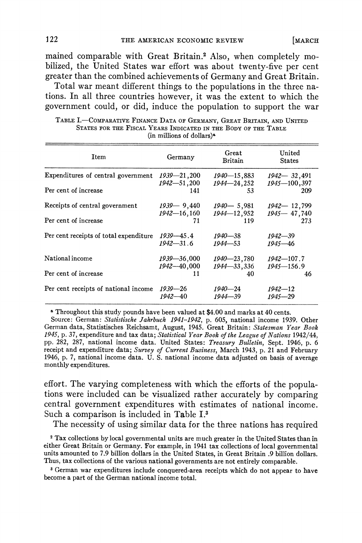**mained comparable with Great Britain.2 Also, when completely mobilized, the United States war effort was about twenty-five per cent greater than the combined achievements of Germany and Great Britain.** 

**Total war meant different things to the populations in the three nations. In all three countries however, it was the extent to which the government could, or did, induce the population to support the war** 

TABLE I.**-**COMPARATIVE FINANCE DATA OF GERMANY, GREAT BRITAIN, AND UNITED **STATES FOR THE FISCAL YEARS INDICATED IN THE BODY OF THE TABLE (in millions of dollars)"** 

| Item                                   | Germany         | Great<br>Britain | United<br><b>States</b> |
|----------------------------------------|-----------------|------------------|-------------------------|
| Expenditures of central government     | $1939 - 21,200$ | 1940-15,883      | $1942 - 32,491$         |
|                                        | $1942 - 51,200$ | $1944 - 24, 252$ | $1945 - 100, 397$       |
| Per cent of increase                   | 141             | 53               | 209                     |
| Receipts of central government         | $1939 - 9,440$  | $1940 - 5,981$   | $1942 - 12,799$         |
|                                        | 1942—16,160     | 1944-12,952      | $1945 - 47,740$         |
| Per cent of increase                   | 71              | 119              | 273                     |
| Per cent receipts of total expenditure | $1939 - 45.4$   | $1940 - 38$      | $1942 - 39$             |
|                                        | $1942 - 31.6$   | $1944 - 53$      | $1945 - 46$             |
| National income                        | 1939–36,000     | $1940 - 23,780$  | 1942—107.7              |
|                                        | 1942-40,000     | $1944 - 33,336$  | $1945 - 156.9$          |
| Per cent of increase                   | 11              | 40               | 46                      |
| Per cent receipts of national income   | 1939—26         | 1940—24          | $1942 - 12$             |
|                                        | $1942 - 40$     | $1944 - 39$      | $1945 - 29$             |

**<sup>a</sup>Throughout this study pounds have been valued at \$4.00 and marks at 40 cents.** 

**Source: German: Statistische Jahrbuch 1941-1942, p. 605, national income 1939. Other German data, Statistisches Reichsamt, August, 1945. Great Britain: Statesman Year Book 1945, p. 37, expenditure and tax data; Statistical Year Book of the League of Nations 1942/44, pp. 282, 287, national income data. United States: Treasury Bulletin, Sept. 1946, p. 6 receipt and expenditure data; Survey of Current Business, March 1943, p. 21 and February 1946, p. 7, national income data. U. S. national income data adjusted on basis of average monthly expenditures.** 

**effort. The varying completeness with which the efforts of the populations were included can be visualized rather accurately by comparing central government expenditures with estimates of national income. Such a comparison is included in Table I.3** 

**The necessity of using similar data for the three nations has required** 

**<sup>2</sup>Tax collections by local governmental units are much greater in the United States than in either Great Britain or Germany. For example, in 1941 tax collections of local governmental units amounted to 7.9 billion dollars in the United States, in Great Britain .9 billion dollars. Thus, tax collections of the various national governments are not entirely comparable.** 

**3 German war expenditures include conquered-area receipts which do not appear to have become a part of the German national income total.**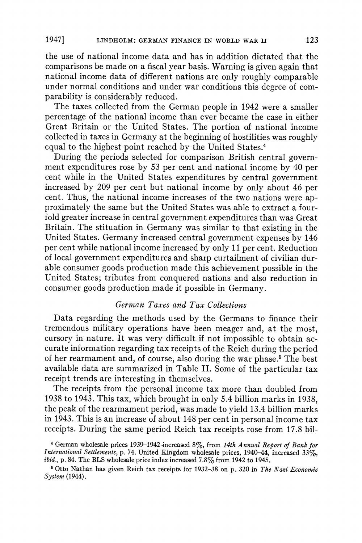**the use of national income data and has in addition dictated that the comparisons be made on a fiscal year basis. Warning is given again that national income data of different nations are only roughly comparable under normal conditions and under war conditions this degree of comparability is considerably reduced.** 

**The taxes collected from the German people in 1942 were a smaller percentage of the national income than ever became the case in either Great Britain or the United States. The portion of national income collected in taxes in Germiany at the beginning of hostilities was roughly equal to the highest point reached by the United States.4** 

**During the periods selected for comparison British central government expenditures rose by 53 per cent and national income by 40 per cent while in the United States expenditures by central government increased by 209 per cent but national income by only about 46 per cent. Thus, the national income increases of the two nations were approximately the same but the United States was able to extract a fourfold greater increase in central government expenditures than was Great Britain. The stituation in Germany was similar to that existing in the United States. Germany increased central government expenses by 146 per cent while national income increased by only 11 per cent. Reduction of local government expenditures and sharp curtailment of civilian durable consumer goods production made this achievement possible in the United States; tributes from conquered nations and also reduction in consumer goods production made it possible in Germany.** 

### **German Taxes and Tax Collections**

**Data regarding the methods used by the Germans to finance their tremendous military operations have been meager and, at the most, cursory in nature. It was very difficult if not impossible to obtain accurate information regarding tax receipts of the Reich during the period of her rearmament and, of course, also during the war phase.5 The best available data are summarized in Table II. Some of the particular tax receipt trends are interesting in themselves.** 

**The receipts from the personal income tax more than doubled from 1938 to 1943. This tax, which brought in only 5.4 billion marks in 1938, the peak of the rearmament period, was made to yield 13.4 billion marks in 1943. This is an increase of about 148 per cent in personal income tax receipts. During the same period Reich tax receipts rose from 17.8 bil-**

**<sup>I</sup>German wholesale prices 1939-1942 increased 8%, from 14th Annual Report of Bank for International Settlements, p. 74. United Kingdom wholesale prices, 1940-44, increased 33%, ibid., p. 84. The BLS wholesale price index increased 7.8% from 1942 to 1945.** 

**<sup>6</sup>Otto Nathan has given Reich tax receipts for 1932-38 on p. 320 in The Nazi Economic System (1944).**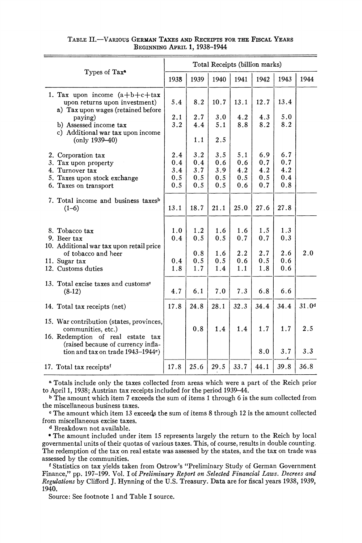| TABLE II.—VARIOUS GERMAN TAXES AND RECEIPTS FOR THE FISCAL YEARS |                                     |  |  |  |  |
|------------------------------------------------------------------|-------------------------------------|--|--|--|--|
|                                                                  | <b>BEGINNING APRIL 1, 1938-1944</b> |  |  |  |  |

| Types of Tax <sup>a</sup>                                                                                              |                                 |                                 |                                 |                                 | Total Receipts (billion marks)  |                                 |                   |
|------------------------------------------------------------------------------------------------------------------------|---------------------------------|---------------------------------|---------------------------------|---------------------------------|---------------------------------|---------------------------------|-------------------|
|                                                                                                                        | 1938                            | 1939                            | 1940                            | 1941                            | 1942                            | 1943                            | 1944              |
| 1. Tax upon income $(a+b+c+tax$<br>upon returns upon investment)<br>a) Tax upon wages (retained before                 | 5.4                             | 8.2                             | 10.7                            | 13.1                            | 12.7                            | 13.4                            |                   |
| paying)<br>b) Assessed income tax<br>c) Additional war tax upon income                                                 | 2.1<br>3.2                      | 2.7<br>4.4                      | 3.0<br>5.1                      | 4.2<br>8.8                      | 4.3<br>8.2                      | 5.0<br>8.2                      |                   |
| $( only 1939 - 40)$                                                                                                    |                                 | 1.1                             | 2.5                             |                                 |                                 |                                 |                   |
| 2. Corporation tax<br>3. Tax upon property<br>4. Turnover tax<br>5. Taxes upon stock exchange<br>6. Taxes on transport | 2.4<br>0.4<br>3.4<br>0.5<br>0.5 | 3.2<br>0.4<br>3.7<br>0.5<br>0.5 | 3.5<br>0.6<br>3.9<br>0.5<br>0.5 | 5.1<br>0.6<br>4.2<br>0.5<br>0.6 | 6.9<br>0.7<br>4.2<br>0.5<br>0.7 | 6.7<br>0.7<br>4.2<br>0.4<br>0.8 |                   |
| 7. Total income and business taxes <sup>b</sup><br>$(1-6)$                                                             | 13.1                            | 18.7                            | 21.1                            | 25.0                            | 27.6                            | 27.8                            |                   |
| 8. Tobacco tax<br>9. Beer tax<br>10. Additional war tax upon retail price<br>of tobacco and heer                       | 1.0<br>0.4                      | 1.2<br>0.5<br>0.8               | 1.6<br>0.5<br>1.6               | 1.6<br>0.7<br>2.2               | 1.5<br>0.7<br>2.7               | 1.3<br>0.3<br>2.6               | 2.0               |
| 11. Sugar tax<br>12. Customs duties                                                                                    | 0.4<br>1.8                      | 0.5<br>1.7                      | 0.5<br>1.4                      | 0.6<br>1.1                      | 0.5<br>1.8                      | 0.6<br>0.6                      |                   |
| 13. Total excise taxes and customs <sup>o</sup><br>$(8-12)$                                                            | 4.7                             | 6.1                             | 7.0                             | 7.3                             | 6.8                             | 6.6                             |                   |
| 14. Total tax receipts (net)                                                                                           | 17.8                            | 24.8                            | 28.1                            | 32.3                            | 34.4                            | 34.4                            | 31.0 <sup>d</sup> |
| 15. War contribution (states, provinces,<br>communities, etc.)<br>16. Redemption of real estate tax                    |                                 | 0.8                             | 1.4                             | 1.4                             | 1.7                             | 1.7                             | 2.5               |
| (raised because of currency infla-<br>tion and tax on trade 1943-1944e)                                                |                                 |                                 |                                 |                                 | 8.0                             | 3.7                             | 3.3               |
| 17. Total tax receipts <sup>f</sup>                                                                                    | 17.8                            | 25.6                            | 29.5                            | 33.7                            | 44.1                            | 39.8                            | 36.8              |

**a Totals include only the taxes collected from areas which were a part of the Reich prior to April 1, 1938; Austrian tax receipts included for the period 1939-44.** 

**<sup>b</sup>The amount which item 7 exceeds the sum of items 1 through 6 is the sum collected from the miscellaneous business taxes.** 

<sup>o</sup> The amount which item 13 exceeds the sum of items 8 through 12 is the amount collected **from miscellaneous excise taxes.** 

**<sup>d</sup>Breakdown not available.** 

**\* The amount included under item 15 represents largely the return to the Reich by local governmental units of their quotas of various taxes. This, of course, results in double counting. The redemption of the tax on real estate was assessed by the states, and the tax on trade was assessed by the communities.** 

**f Statistics on tax yields taken from Ostrow's "Preliminary Study of German Government Finance," pp. 197-199. Vol. I of Preliminary Report on Selected Financial Laws. Decrees and Regulations by Clifford J. Hynning of the U.S. Treasury. Data are for fiscal years 1938, 1939, 1940.** 

**Source: See footnote 1 and Table I source.**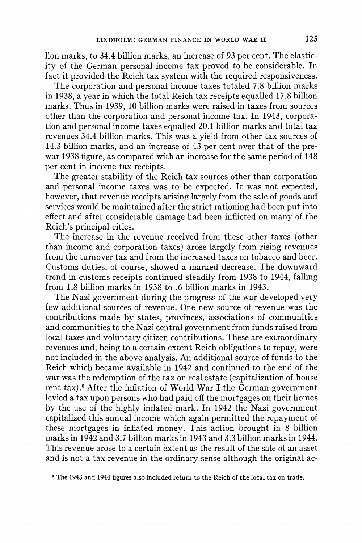**lion marks, to 34.4 billion marks, an increase of 93 per cent. The elasticity of the German personal income tax proved to be considerable. In fact it provided the Reich tax system with the required responsiveness.** 

**The corporation and personal income taxes totaled 7.8 billion marks in 1938, a year in which the total Reich tax receipts equalled 17.8 billion marks. Thus in 1939, 10 billion marks were raised in taxes from sources other than the corporation and personal income tax. In 1943, corporation and personal income taxes equalled 20.1 billion marks and total tax revenues 34.4 billion marks. This was a yield from other tax sources of 14.3 billion marks, and an increase of 43 per cent over that of the prewar 1938 figure, as compared with an increase for the same period of 148 per cent in income tax receipts.** 

**The greater stability of the Reich tax sources other than corporation and personal income taxes was to be expected. It was not expected, however, that revenue receipts arising largely from the sale of goods and services would be maintained after the strict rationing had been put into effect and after considerable damage had been inflicted on many of the Reich's principal cities.** 

**The increase in the revenue received from these other taxes (other than income and corporation taxes) arose largely from rising revenues from the turnover tax and from the increased taxes on tobacco and beer. Customs duties, of course, showed a marked decrease. The downward trend in customs receipts continued steadily from 1938 to 1944, falling from 1.8 billion marks in 1938 to .6 billion marks in 1943.** 

**The Nazi government during the progress of the war developed very few additional sources of revenue. One new source of revenue was the contributions made by states, provinces, associations of communities and communities to the Nazi central government from funds raised from local taxes and voluntary citizen contributions. These are extraordinary revenues and, being to a certain extent Reich obligations to repay, were not included in the above analysis. An additional source of funds to the Reich which became available in 1942 and continued to the end of the war was the redemption of the tax on real estate (capitalization of house rent tax).6 After the inflation of World War I the German government levied a tax upon persons who had paid off the mortgages on their homes by the use of the highly inflated mark. In 1942 the Nazi government capitalized this annual income which again permitted the repayment of these mortgages in inflated money. This action brought in 8 billion marks in 1942 and 3.7 billion marks in 1943 and 3.3 billion marks in 1944. This revenue arose to a certain extent as the result of the sale of an asset and is not a tax revenue in the ordinary sense although the original ac-**

**<sup>6</sup> The 1943 and 1944 figures also included return to the Reich of the local tax on trade.**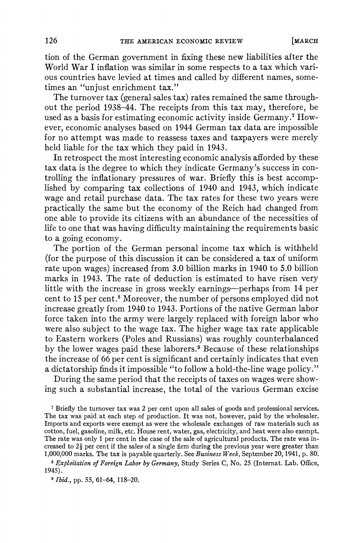**tion of the German government in fixing these new liabilities after the World War I inflation was similar in some respects to a tax which various countries have levied at times and called by different names, sometimes an "unjust enrichment tax."** 

**The turnover tax (general sales tax) rates remained the same throughout the period 1938-44. The receipts from this tax may, therefore, be used as a basis for estimating economic activity inside Germany.7 However, economic analyses based on 1944 German tax data are impossible for no attempt was made to reassess taxes and taxpayers were merely held liable for the tax which they paid in 1943.** 

**In retrospect the most interesting economic analysis afforded by these tax data is the degree to which they indicate Germany's success in controlling the inflationary pressures of war. Briefly this is best accomplished by comparing tax collections of 1940 and 1943, which indicate wage and retail purchase data. The tax rates for these two years were practically the same but the economy of the Reich had changed from one able to provide its citizens with an abundance of the necessities of life to one that was having difficulty maintaining the requirements basic to a going economy.** 

**The portion of the German personal income tax which is withheld (for the purpose of this discussion it can be considered a tax of uniform rate upon wages) increased from 3.0 billion marks in 1940 to 5.0 billion marks in 1943. The rate of deduction is estimated to have risen very little with the increase in gross weekly earnings-perhaps from 14 per cent to 15 per cent.8 Moreover, the number of persons employed did not increase greatly from 1940 to 1943. Portions of the native German labor force taken into the army were largely replaced with foreign labor who were also subject to the wage tax. The higher wage tax rate applicable to Eastern workers (Poles and Russians) was roughly counterbalanced by the lower wages paid these laborers.9 Because of these relationships the increase of 66 per cent is significant and certainly indicates that even a dictatorship finds it impossible "to follow a hold-the-line wage policy."** 

**During the same period that the receipts of taxes on wages were showing such a substantial increase, the total of the various German excise** 

**<sup>I</sup>Briefly the turnover tax was 2 per cent upon all sales of goods and professional services. The tax was paid at each step of production. It was not, however, paid by the wholesaler. Imports and exports were exempt as were the wholesale exchanges of raw materials such as cotton, fuel, gasoline, milk, etc. House rent, water, gas, electricity, and heat were also exempt. The rate was only 1 per cent in the case of the sale of agricultural products. The rate was in**creased to  $2\frac{1}{2}$  per cent if the sales of a single firm during the previous year were greater than **1,000,000 marks. The tax is payable quarterly. See Business Week, September 20, 1941, p. 80.** 

**<sup>8</sup>Exploitation of Foreign Labor by Germany, Study Series C, No. 25 (Internat. Lab. Office, 1945).** 

**9 Ibid., pp. 55, 61-64, 118-20.**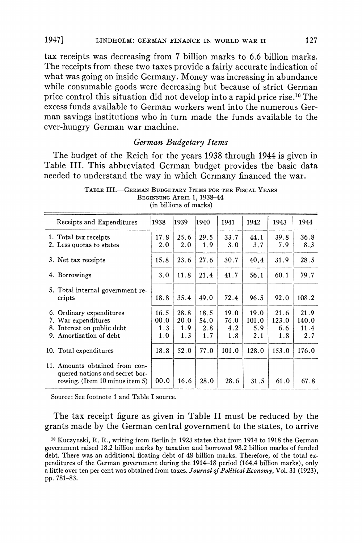**tax receipts was decreasing from 7 billion marks to 6.6 billion marks. The receipts from these two taxes provide a fairly accurate indication of what was going on inside Germany. Money was increasing in abundance while consumable goods were decreasing but because of strict German price control this situation did not develop into a rapid price rise.10 The excess funds available to German workers went into the numerous German savings institutions who in turn made the funds available to the ever-hungry German war machine.** 

#### **German Budgetary Items**

**The budget of the Reich for the years 1938 through 1944 is given in Table III. This abbreviated German budget provides the basic data needed to understand the way in which Germany financed the war.** 

| Receipts and Expenditures                                                                                | 1938                       | 1939                       | 1940                       | 1941                       | 1942                        | 1943                        | 1944                         |
|----------------------------------------------------------------------------------------------------------|----------------------------|----------------------------|----------------------------|----------------------------|-----------------------------|-----------------------------|------------------------------|
| 1. Total tax receipts<br>2. Less quotas to states                                                        | 17.8<br>2.0                | 25.6<br>2.0                | 29.5<br>1.9                | 33.7<br>3.0                | 44.1<br>3.7                 | 39.8<br>7.9                 | 36.8<br>8.3                  |
| 3. Net tax receipts                                                                                      | 15.8                       | 23.6                       | 27.6                       | 30.7                       | 40.4                        | 31.9                        | 28.5                         |
| 4. Borrowings                                                                                            | 3.0                        | 11.8                       | 21.4                       | 41.7                       | 56.1                        | 60.1                        | 79.7                         |
| 5. Total internal government re-<br>ceipts                                                               | 18.8                       | 35.4                       | 49.0                       | 72.4                       | 96.5                        | 92.0                        | 108.2                        |
| 6. Ordinary expenditures<br>7. War expenditures<br>8. Interest on public debt<br>9. Amortization of debt | 16.5<br>00.0<br>1.3<br>1.0 | 28.8<br>20.0<br>1.9<br>1.3 | 18.5<br>54.0<br>2.8<br>1.7 | 19.0<br>76.0<br>4.2<br>1.8 | 19.0<br>101.0<br>5.9<br>2.1 | 21.6<br>123.0<br>6.6<br>1.8 | 21.9<br>140.0<br>11.4<br>2.7 |
| 10. Total expenditures                                                                                   | 18.8                       | 52.0                       | 77.0                       | 101.0                      | 128.0                       | 153.0                       | 176.0                        |
| 11. Amounts obtained from con-<br>quered nations and secret bor-<br>rowing. (Item $10$ minus item $5$ )  | 00.0                       | 16.6                       | 28.0                       | 28.6                       | 31.5                        | 61.0                        | 67.8                         |

**TABLE III.-GERMAN BUDGETARY ITEMS FOR THE FISCAL YEARS BEGINNING APRIL 1, 1938-44 (in billions of marks)** 

**Source: See footnote 1 and Table I source.** 

**The tax receipt figure as given in Table II must be reduced by the grants made by the German central government to the states, to arrive** 

**<sup>10</sup>Kuczynski, R. R., writing from Berlin in 1923 states that from 1914 to 1918 the German government raised 18.2 billion marks by taxation and borrowed 98.2 billion marks of funded debt. There was an additional floating debt of 48 billion marks. Therefore, of the total expenditures of the German government during the 1914-18 period (164.4 billion marks), only a little over ten per cent was obtained from taxes. Journal of Political Economy, Vol. 31 (1923), pp. 781-83.**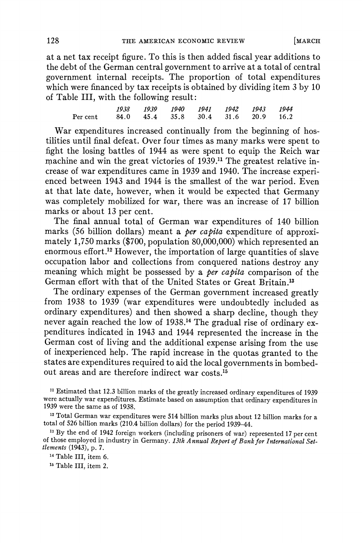**at a net tax receipt figure. To this is then added fiscal year additions to the debt of the German central government to arrive at a total of central government internal receipts. The proportion of total expenditures which were financed by tax receipts is obtained by dividing item 3 by 10 of Table III, with the following result:** 

**1938 1939 1940 1941 1942 1943 1944 Per cent 84.0 45.4 35.8 30.4 31.6 20.9 16.2** 

**War expenditures increased continually from the beginning of hostilities until final defeat. Over four times as many marks were spent to fight the losing battles of 1944 as were spent to equip the Reich war machine and win the great victories of 1939.1" The greatest relative increase of war expenditures came in 1939 and 1940. The increase experienced between 1943 and 1944 is the smallest of the war period. Even at that late date, however, when it would be expected that Germany was completely mobilized for war, there was an increase of 17 billion marks or about 13 per cent.** 

**The final annual total of German war expenditures of 140 billion marks (56 billion dollars) meant a per capita expenditure of approximately 1,750 marks (\$700, population 80,000,000) which represented an enormous effort.'2 However, the importation of large quantities of slave occupation labor and collections from conquered nations destroy any meaning which might be possessed by a per capita comparison of the German effort with that of the United States or Great Britain.'3** 

**The ordinary expenses of the German government increased greatly from 1938 to 1939 (war expenditures were undoubtedly included as ordinary expenditures) and then showed a sharp decline, though they never again reached the low of 1938.'4 The gradual rise of ordinary expenditures indicated in 1943 and 1944 represented the increase in the German cost of living and the additional expense arising from the use of inexperienced help. The rapid increase in the quotas granted to the states are expenditures required to aid the local governments in bombedout areas and are therefore indirect war costs.15** 

**"1 Estimated that 12.3 billion marks of the greatly increased ordinary expenditures of 1939 were actually war expenditures. Estimate based on assumption that ordinary expenditures in 1939 were the same as of 1938.** 

**<sup>12</sup>Total German war expenditures were 514 billion marks plus about 12 billion marks for a total of 526 billion marks (210.4 billion dollars) for the period 1939-44.** 

**<sup>13</sup>By the end of 1942 foreign workers (including prisoners of war) represented 17 per cent of those employed in industry in Germany. 13th Annual Report of Bank for International Settlements (1943), p. 7.** 

**<sup>14</sup>Table III, item 6.** 

**16 Table III, item 2.**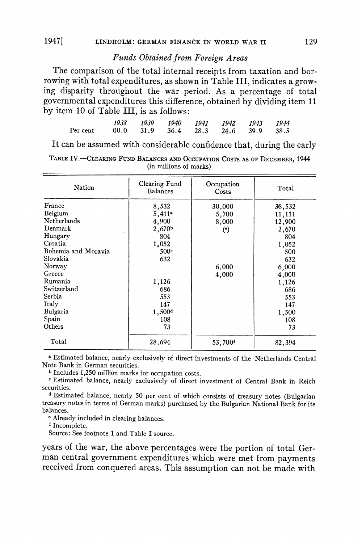## **Funds Obtained from Foreign Areas**

**The comparison of the total internal receipts from taxation and borrowing with total expenditures, as shown in Table III, indicates a growing disparity throughout the war period. As a percentage of total governmental expenditures this difference, obtained by dividing item 11 by item 10 of Table III, is as follows:** 

|                                             |  | 1938 1939 1940 1941 1942 1943 1944 |  |  |
|---------------------------------------------|--|------------------------------------|--|--|
| Per cent 00.0 31.9 36.4 28.3 24.6 39.9 38.5 |  |                                    |  |  |

**It can be assumed with considerable confidence that, during the early** 

| TABLE IV.—CLEARING FUND BALANCES AND OCCUPATION COSTS AS OF DECEMBER, 1944 |                        |  |  |
|----------------------------------------------------------------------------|------------------------|--|--|
|                                                                            | (in millions of marks) |  |  |

| Nation              | Clearing Fund<br><b>Balances</b> | Occupation<br>Costs  | Total  |
|---------------------|----------------------------------|----------------------|--------|
| France              | 8,532                            | 30,000               | 38,532 |
| Belgium             | $5,411$ <sup>a</sup>             | 5,700                | 11,111 |
| Netherlands         | 4.900                            | 8,000                | 12,900 |
| Denmark             | 2,670b                           | $($ <sup>e</sup> $)$ | 2,670  |
| Hungary             | 804                              |                      | 804    |
| Croatia             | 1,052                            |                      | 1,052  |
| Bohemia and Moravia | 500°                             |                      | 500    |
| Slovakia            | 632                              |                      | 632    |
| Norway              |                                  | 6,000                | 6,000  |
| Greece              |                                  | 4,000                | 4,000  |
| Rumania             | 1,126                            |                      | 1,126  |
| Switzerland         | 686                              |                      | 686    |
| Serbia              | 553                              |                      | 553    |
| Italy               | 147                              |                      | 147    |
| Bulgaria            | 1,500 <sup>d</sup>               |                      | 1,500  |
| Spain               | 108                              |                      | 108    |
| Others              | 73                               |                      | 73     |
| Total               | 28,694                           | 53,700               | 82.394 |

**<sup>a</sup>Estimated balance, nearly exclusively of direct investments of the Netherlands Central Note Bank in German securities.** 

**<sup>b</sup>Includes 1,250 million marks for occupation costs.** 

**<sup>e</sup>Estimated balance, nearly exclusively of direct investment of Central Bank in Reich securities.** 

**<sup>d</sup>Estimated balance, nearly 50 per cent of which consists of treasury notes (Bulgarian treasury notes in terms of German marks) purchased by the Bulgarian National Bank for its balances.** 

**<sup>e</sup>Already included in clearing balances.** 

**f Incomplete.** 

**Source: See footnote 1 and Table I source.** 

**years of the war, the above percentages were the portion of total German central government expenditures which were met from payments received from conquered areas. This assumption can not be made with**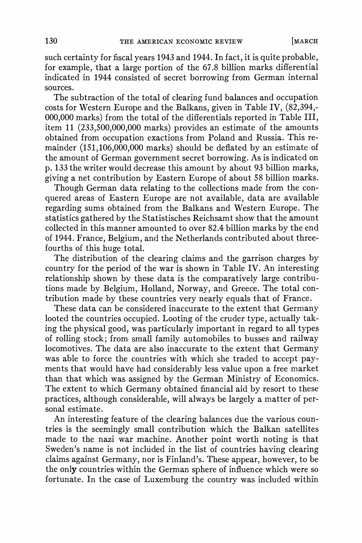**such certainty for fiscal years 1943 and 1944. In fact, it is quite probable, for example, that a large portion of the 67.8 billion marks differential indicated in 1944 consisted of secret borrowing from German internal sources.** 

**The subtraction of the total of clearing fund balances and occupation costs for Western Europe and the Balkans, given in Table IV, (82,394,- 000,000 marks) from the total of the differentials reported in Table III, item 11 (233,500,000,000 marks) provides an estimate of the amounts obtained from occupation exactions from Poland and Russia. This remainder (151,106,000,000 marks) should be deflated by an estimate of the amount of German government secret borrowing. As is indicated on p. 133 the writer would decrease this amount by about 93 billion marks, giving a net contribution by Eastern Europe of about 58 billion marks.** 

**Though German data relating to the collections made from the conquered areas of Eastern Europe are not available, data are available regarding sums obtained from the Balkans and Western Europe. The statistics gathered by the Statistisches Reichsamt show that the amount collected in this manner amounted to over 82.4 billion marks by the end of 1944. France, Belgium, and the Netherlands contributed about threefourths of this huge total.** 

**The distribution of the clearing claims and the garrison charges by country for the period of the war is shown in Table IV. An interesting relationship shown by these data is the comparatively large contributions made by Belgium, Holland, Norway, and Greece. The total contribution made by these countries very nearly equals that of France.** 

**These data can be considered inaccurate to the extent that Germany looted the countries occupied. Looting of the cruder type, actually taking the physical good, was particularly important in regard to all types of rolling stock; from small family automobiles to busses and railway locomotives. The data are also inaccurate to the extent that Germany was able to force the countries with which she traded to accept payments that would have had considerably less value upon a free market than that which was assigned by the German Ministry of Economics. The extent to which Germany obtained financial aid by resort to these practices, although considerable, will always be largely a matter of personal estimate.** 

**An interesting feature of the clearing balances due the various countries is the seemingly small contribution which the Balkan satellites made to the nazi war machine. Another point worth noting is that Sweden's name is not included in the list of countries having clearing claims against Germany, nor is Finland's. These appear, however, to be the only countries within the German sphere of influence which were so fortunate. In the case of Luxemburg the country was included within**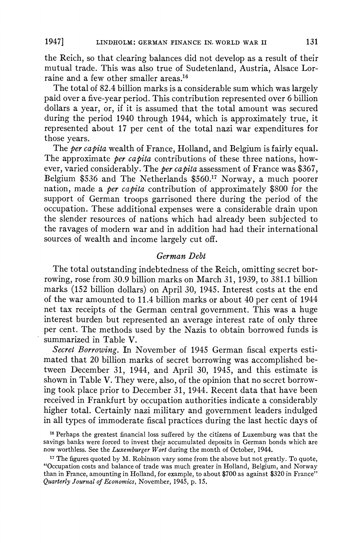**the Reich, so that clearing balances did not develop as a result of their mutual trade. This was also true of Sudetenland, Austria, Alsace Lorraine and a few other smaller areas.16** 

**The total of 82.4 billion marks is a considerable sum which was largely paid over a five-year period. This contribution represented over 6 billion dollars a year, or, if it is assumed that the total amount was secured during the period 1940 through 1944, which is approximately true, it represented about 17 per cent of the total nazi war expenditures for those years.** 

**The per capita wealth of France, Holland, and Belgium is fairly equal.**  The approximate *ber capita* contributions of these three nations, how**ever, varied considerably. The per capita assessment of France was \$367, Belgium \$536 and The Netherlands \$560.'7 Norway, a much poorer nation, made a per capita contribution of approximately \$800 for the support of German troops garrisoned there during the period of the occupation. These additional expenses were a considerable drain upon the slender resources of nations which had already been subjected to the ravages of modern war and in addition had had their international sources of wealth and income largely cut off.** 

#### **German Debt**

**The total outstanding indebtedness of the Reich, omitting secret borrowing, rose from 30.9 billion marks on March 31, 1939, to 381.1 billion marks (152 billion dollars) on April 30, 1945. Interest costs at the end of the war amounted to 11.4 billion marks or about 40 per cent of 1944 net tax receipts of the German central government. This was a huge interest burden but represented an average interest rate of only three per cent. The methods used by the Nazis to obtain borrowed funds is summarized in Table V.** 

**Secret Borrowing. In November of 1945 German fiscal experts estimated that 20 billion marks of secret borrowing was accomplished between December 31, 1944, and April 30, 1945, and this estimate is shown in Table V. They were, also, of the opinion that no secret borrowing took place prior to December 31, 1944. Recent data that have been received in Frankfurt by occupation authorities indicate a considerably higher total. Certainly nazi military and government leaders indulged in all types of immoderate fiscal practices during the last hectic days of** 

**<sup>16</sup>Perhaps the greatest financial loss suffered by the citizens of Luxemburg was that the savings banks were forced to invest their accumulated deposits in German bonds which are now worthless. See the Luxemburger Wort during the month of October, 1944.** 

**<sup>17</sup>The figures quoted by M. Robinson vary some from the above but not greatly. To quote, "Occupation costs and balance of trade was much greater in Holland, Belgium, and Norway than in France, amounting in Holland, for example, to about \$700 as against \$320 in France" Quarterly Journal of Economics, November, 1945, p. 15.**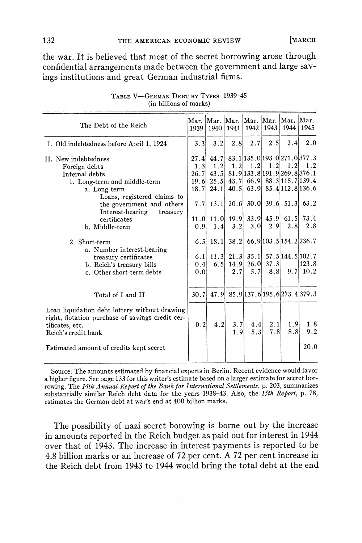**the war. It is believed that most of the secret borrowing arose through confidential arrangements made between the government and large savings institutions and great German industrial firms.** 

| The Debt of the Reich                                                                                                                                                                               |                                            | 1939 1940           |                                  |            |                                  | Mar. Mar. Mar. Mar. Mar. Mar. Mar. Mar.<br>  1941   1942   1943   1944   1945                                                                                                      |                       |
|-----------------------------------------------------------------------------------------------------------------------------------------------------------------------------------------------------|--------------------------------------------|---------------------|----------------------------------|------------|----------------------------------|------------------------------------------------------------------------------------------------------------------------------------------------------------------------------------|-----------------------|
| I. Old indebtedness before April 1, 1924                                                                                                                                                            | 3.3                                        | 3.2                 | 2.8                              | 2.7        | 2.5                              | 2.4                                                                                                                                                                                | 2.0                   |
| II. New indebtedness<br>Foreign debts<br>Internal debts<br>1. Long-term and middle-term<br>a. Long-term<br>Loans, registered claims to<br>the government and others<br>Interest-bearing<br>treasury | 27.4<br>1.3<br>26.7<br>19.6<br>18.7<br>7.7 | 1.2<br>24.1<br>13.1 | 1.2                              | 1.2        |                                  | 44.7 83.1 135.0 193.0 271.0 377.3<br>$1.2$ 1.2<br>43.5 81.9 133.8 191.9 269.8 376.1<br>25.5 43.7 66.9 88.3 115.7 139.4<br>40.5 63.9 85.4 112.8 136.6<br>$20.6$ 30.0 39.6 51.3 63.2 | 1.2                   |
| certificates<br>b. Middle-term                                                                                                                                                                      | 0.9                                        | 1.4                 | 3.2                              | 3.0        | 11.0 11.0 19.9 33.9 45.9<br>2.91 | 61.5<br>2.8                                                                                                                                                                        | 73.4<br>2.8           |
| 2. Short-term<br>a. Number interest-bearing<br>treasury certificates<br>b. Reich's treasury bills<br>c. Other short-term debts                                                                      | 6.5<br>6.11<br>0.4<br>0.0                  | 18.1<br>6.5         | 38.2<br>14.9<br>2.7 <sub>1</sub> | 5.7        | $26.0$ 37.3<br>8.8               | 66.9 103.5 154.2 236.7<br>$11.3$ 21.3 35.1 57.5 144.5 102.7                                                                                                                        | 123.8<br>$9.7$   10.2 |
| Total of I and II                                                                                                                                                                                   | 30.7                                       |                     |                                  |            |                                  | 47.9 85.9 137.6 195.6 273.4 379.3                                                                                                                                                  |                       |
| Loan liquidation debt lottery without drawing<br>right, flotation purchase of savings credit cer-<br>tificates, etc.<br>Reich's credit bank                                                         | 0.2                                        | 4.2                 | 3.7<br>1.9                       | 4.4<br>5.3 | 2.1<br>7.8                       | 1.9<br>8.8                                                                                                                                                                         | 1.8<br>9.2<br>20.0    |
| Estimated amount of credits kept secret                                                                                                                                                             |                                            |                     |                                  |            |                                  |                                                                                                                                                                                    |                       |

**TABLE V-GERMAN DEBT BY TYPES 1939-45 (in billions of marks)** 

**Source: The amounts estimated by financial experts in Berlin. Recent evidence would favor a higher figure. See page 133 for this writer's estimate based on a larger estimate for secret borrowing. The 14th Annual Report of the Bank for International Settlements, p. 203, summarizes substantially similar Reich debt data for the years 1938-43. Also, the 15th Report, p. 78, estimates the German debt at war's end at 400 billion marks.** 

**The possibility of nazi secret borowing is borne out by the increase in amounts reported in the Reich budget as paid out for interest in 1944 over that of 1943. The iricrease in interest payments is reported to be 4.8 billion marks or an increase of 72 per cent. A 72 per cent increase in the Reich debt from 1943 to 1944 would bring the total debt at the end**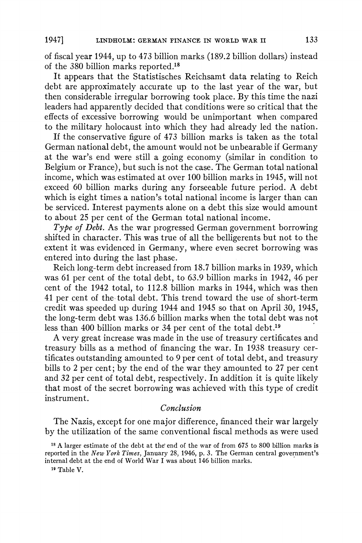**of fiscal year 1944, up to 473 billion marks (189.2 billion dollars) instead of the 380 billion marks reported.'8** 

**It appears that the Statistisches Reichsamt data relating to Reich debt are approximately accurate up to the last year of the war, but then considerable irregular borrowing took place. By this time the nazi leaders had apparently decided that conditions were so critical that the effects of excessive borrowing would be unimportant when compared to the military holocaust into which they had already led the nation.** 

**If the conservative figure of 473 billion marks is taken as the total German national debt, the amount would not be unbearable if Germany at the war's end were still a going economy (similar in condition to Belgium or France), but such is not the case. The German total national income, which was estimated at over 100 billion marks in 1945, will not exceed 60 billion marks during any forseeable future period. A debt which is eight times a nation's total national income is larger than can be serviced. Interest payments alone on a debt this size would amount to about 25 per cent of the German total national income.** 

**Type of Debt. As the war progressed German government borrowing shifted in character. This was true of all the belligerents but not to the extent it was evidenced in Germany, where even secret borrowing was entered into during the last phase.** 

**Reich long-term debt increased from 18.7 billion marks in 1939, which was 61 per cent of the total debt, to 63.9 billion marks in 1942, 46 per cent of the 1942 total, to 112.8 billion marks in 1944, which was then 41 per cent of the total debt. This trend toward the use of short-term credit was speeded up during 1944 and 1945 so that on April 30, 1945, the long-term debt was 136.6 billion marks when the total debt was not less than 400 billion marks or 34 per cent of the total debt.'9** 

**A very great increase was made in the use of treasury certificates and treasury bills as a method of financing the war. In 1938 treasury certificates outstanding amounted to 9 per cent of total debt, and treasury bills to 2 per cent; by the end of the war they amounted to 27 per cent and 32 per cent of total debt, respectively. In addition it is quite likely that most of the secret borrowing was achieved with this type of credit instrument.** 

## **Conclusion**

**The Nazis, except for one major difference, financed their war largely by the utilization of the same conventional fiscal methods as were used** 

**l9 Table V.** 

<sup>&</sup>lt;sup>18</sup> A larger estimate of the debt at the end of the war of from 675 to 800 billion marks is **reported in the New York Times, January 28, 1946, p. 3. The German central government's internal debt at the end of World War I was about 146 billion marks.**